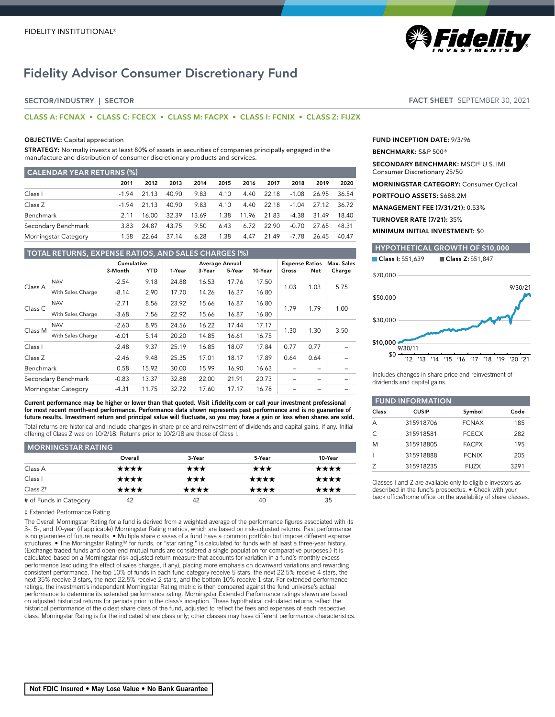# Fidelity Advisor Consumer Discretionary Fund

# SECTOR/INDUSTRY | SECTOR

# **CLASS A: FCNAX • CLASS C: FCECX • CLASS M: FACPX • CLASS I: FCNIX • CLASS Z: FIJZX**

### **OBJECTIVE:** Capital appreciation

**STRATEGY:** Normally invests at least 80% of assets in securities of companies principally engaged in the manufacture and distribution of consumer discretionary products and services.

| <b>CALENDAR YEAR RETURNS (%)</b> |         |       |       |       |      |       |       |         |       |       |
|----------------------------------|---------|-------|-------|-------|------|-------|-------|---------|-------|-------|
|                                  | 2011    | 2012  | 2013  | 2014  | 2015 | 2016  | 2017  | 2018    | 2019  | 2020  |
| Class I                          | $-1.94$ | 21.13 | 40.90 | 9.83  | 4.10 | 4.40  | 22.18 | -1.08   | 26.95 | 36.54 |
| Class Z                          | $-194$  | 21 13 | 40.90 | 9.83  | 4.10 | 4.40  | 22.18 | $-1.04$ | 27.12 | 36.72 |
| Benchmark                        | 2 1 1   | 16.00 | 32.39 | 13.69 | 1.38 | 11.96 | 21.83 | -4.38   | 31.49 | 18.40 |
| Secondary Benchmark              | 3.83    | 24.87 | 43.75 | 9.50  | 6.43 | 6.72  | 22.90 | $-0.70$ | 27.65 | 48.31 |
| Morningstar Category             | 1.58    | 22.64 | 37.14 | 6.28  | 1.38 | 4.47  | 21.49 | -7.78   | 26.45 | 40.47 |

# **TOTAL RETURNS, EXPENSE RATIOS, AND SALES CHARGES (%)**

|           |                      | Cumulative |       |        | Average Annual |        |         | <b>Expense Ratios</b> |                          | Max. Sales |
|-----------|----------------------|------------|-------|--------|----------------|--------|---------|-----------------------|--------------------------|------------|
|           |                      | 3-Month    | YTD.  | 1-Year | 3-Year         | 5-Year | 10-Year | Gross                 | <b>Net</b>               | Charge     |
| Class A   | <b>NAV</b>           | $-2.54$    | 9.18  | 24.88  | 16.53          | 17.76  | 17.50   | 1.03                  | 1.03                     | 5.75       |
|           | With Sales Charge    | $-8.14$    | 2.90  | 17.70  | 14.26          | 16.37  | 16.80   |                       |                          |            |
| Class C   | <b>NAV</b>           | $-2.71$    | 8.56  | 23.92  | 15.66          | 16.87  | 16.80   | 1.79                  | 1.79                     | 1.00       |
|           | With Sales Charge    | $-3.68$    | 7.56  | 22.92  | 15.66          | 16.87  | 16.80   |                       |                          |            |
| Class M   | <b>NAV</b>           | $-2.60$    | 8.95  | 24.56  | 16.22          | 17.44  | 17.17   | 1.30                  | 1.30                     | 3.50       |
|           | With Sales Charge    | $-6.01$    | 5.14  | 20.20  | 14.85          | 16.61  | 16.75   |                       |                          |            |
| Class I   |                      | $-2.48$    | 9.37  | 25.19  | 16.85          | 18.07  | 17.84   | 0.77                  | 0.77                     |            |
| Class Z   |                      | $-2.46$    | 9.48  | 25.35  | 17.01          | 18.17  | 17.89   | 0.64                  | 0.64                     |            |
| Benchmark |                      | 0.58       | 15.92 | 30.00  | 15.99          | 16.90  | 16.63   |                       | $\overline{\phantom{0}}$ |            |
|           | Secondary Benchmark  | $-0.83$    | 13.37 | 32.88  | 22.00          | 21.91  | 20.73   |                       | $\overline{\phantom{0}}$ |            |
|           | Morningstar Category | $-4.31$    | 11.75 | 32.72  | 17.60          | 17.17  | 16.78   |                       |                          |            |

Current performance may be higher or lower than that quoted. Visit i.fidelity.com or call your investment professional for most recent month-end performance. Performance data shown represents past performance and is no guarantee of future results. Investment return and principal value will fluctuate, so you may have a gain or loss when shares are sold. Total returns are historical and include changes in share price and reinvestment of dividends and capital gains, if any. Initial offering of Class Z was on 10/2/18. Returns prior to 10/2/18 are those of Class I.

# **MORNINGSTAR RATING**

| __________________________ |         |        |        |         |  |  |
|----------------------------|---------|--------|--------|---------|--|--|
|                            | Overall | 3-Year | 5-Year | 10-Year |  |  |
| Class A                    | ****    | ★★★    | ★★★    | ****    |  |  |
| Class I                    | ****    | ★★★    | ★★★★   | ****    |  |  |
| Class $Z^*$                | ****    | ★★★★   | ★★★★   | ★★★★    |  |  |
| # of Funds in Category     | 42      | 42     | 40     | 35      |  |  |

#### ‡ Extended Performance Rating.

The Overall Morningstar Rating for a fund is derived from a weighted average of the performance figures associated with its 3-, 5-, and 10-year (if applicable) Morningstar Rating metrics, which are based on risk-adjusted returns. Past performance is no guarantee of future results. • Multiple share classes of a fund have a common portfolio but impose different expense structures. ● The Morningstar Rating™ for funds, or "star rating," is calculated for funds with at least a three-year history.<br>(Exchange traded funds and open-end mutual funds are considered a single population for compar calculated based on a Morningstar risk-adjusted return measure that accounts for variation in a fund's monthly excess performance (excluding the effect of sales charges, if any), placing more emphasis on downward variations and rewarding consistent performance. The top 10% of funds in each fund category receive 5 stars, the next 22.5% receive 4 stars, the next 35% receive 3 stars, the next 22.5% receive 2 stars, and the bottom 10% receive 1 star. For extended performance ratings, the investment's independent Morningstar Rating metric is then compared against the fund universe's actual performance to determine its extended performance rating. Morningstar Extended Performance ratings shown are based on adjusted historical returns for periods prior to the class's inception. These hypothetical calculated returns reflect the historical performance of the oldest share class of the fund, adjusted to reflect the fees and expenses of each respective class. Morningstar Rating is for the indicated share class only; other classes may have different performance characteristics. FACT SHEET SEPTEMBER 30, 2021

*@Fidelil* 

**FUND INCEPTION DATE:** 9/3/96

#### **BENCHMARK:** S&P 500®

**SECONDARY BENCHMARK:** MSCI® U.S. IMI Consumer Discretionary 25/50

**MORNINGSTAR CATEGORY:** Consumer Cyclical

**PORTFOLIO ASSETS:** \$688.2M

**MANAGEMENT FEE (7/31/21):** 0.53%

**TURNOVER RATE (7/21):** 35%

**MINIMUM INITIAL INVESTMENT:** \$0

# **HYPOTHETICAL GROWTH OF \$10,000** Class I: \$51,639 Class Z: \$51,847 \$0 \$10,000 \$30,000 \$50,000 \$70,000 '12 '13 '14 '15 '16 '17 '18 '19 '20 '21 9/30/11 9/30/21

Includes changes in share price and reinvestment of dividends and capital gains.

|           | <b>FUND INFORMATION</b> |              |      |
|-----------|-------------------------|--------------|------|
| Class     | <b>CUSIP</b>            | Symbol       | Code |
| А         | 315918706               | <b>FCNAX</b> | 185  |
| $\subset$ | 315918581               | <b>FCECX</b> | 282  |
| M         | 315918805               | <b>FACPX</b> | 195  |
|           | 315918888               | <b>FCNIX</b> | 205  |
|           | 315918235               | <b>FIJZX</b> | 3291 |

Classes I and Z are available only to eligible investors as described in the fund's prospectus. • Check with your back office/home office on the availability of share classes.